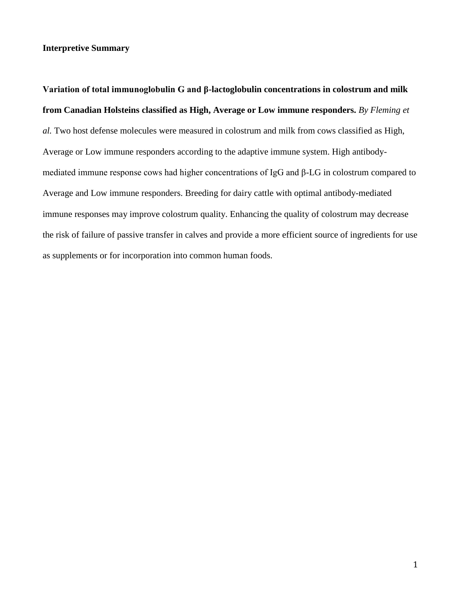## **Interpretive Summary**

**Variation of total immunoglobulin G and β-lactoglobulin concentrations in colostrum and milk from Canadian Holsteins classified as High, Average or Low immune responders.** *By Fleming et al.* Two host defense molecules were measured in colostrum and milk from cows classified as High, Average or Low immune responders according to the adaptive immune system. High antibodymediated immune response cows had higher concentrations of IgG and β-LG in colostrum compared to Average and Low immune responders. Breeding for dairy cattle with optimal antibody-mediated immune responses may improve colostrum quality. Enhancing the quality of colostrum may decrease the risk of failure of passive transfer in calves and provide a more efficient source of ingredients for use as supplements or for incorporation into common human foods.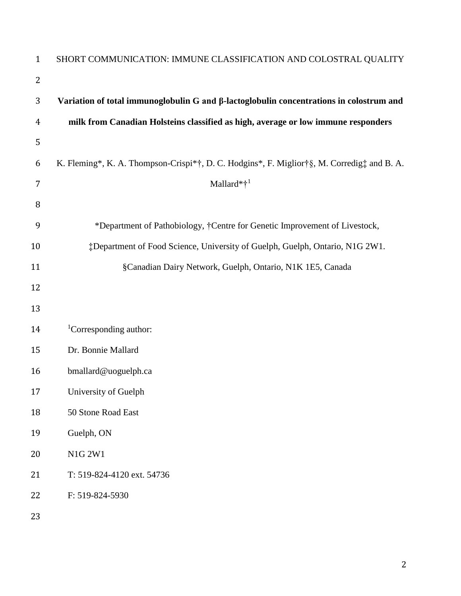| $\mathbf{1}$  | SHORT COMMUNICATION: IMMUNE CLASSIFICATION AND COLOSTRAL QUALITY                           |
|---------------|--------------------------------------------------------------------------------------------|
| 2             |                                                                                            |
| 3             | Variation of total immunoglobulin G and β-lactoglobulin concentrations in colostrum and    |
| 4             | milk from Canadian Holsteins classified as high, average or low immune responders          |
| 5             |                                                                                            |
| 6             | K. Fleming*, K. A. Thompson-Crispi*†, D. C. Hodgins*, F. Miglior†§, M. Corredig‡ and B. A. |
| 7             | Mallard*† <sup>1</sup>                                                                     |
| 8             |                                                                                            |
| 9             | *Department of Pathobiology, †Centre for Genetic Improvement of Livestock,                 |
| 10            | #Department of Food Science, University of Guelph, Guelph, Ontario, N1G 2W1.               |
| 11            | §Canadian Dairy Network, Guelph, Ontario, N1K 1E5, Canada                                  |
| 12            |                                                                                            |
| 13            |                                                                                            |
| 14            | <sup>1</sup> Corresponding author:                                                         |
| 15            | Dr. Bonnie Mallard                                                                         |
| 16            | bmallard@uoguelph.ca                                                                       |
| 17            | University of Guelph                                                                       |
| 18            | 50 Stone Road East                                                                         |
| 19            | Guelph, ON                                                                                 |
| 20            | N1G 2W1                                                                                    |
| 21            | T: 519-824-4120 ext. 54736                                                                 |
| 22            | F: 519-824-5930                                                                            |
| $\sim$ $\sim$ |                                                                                            |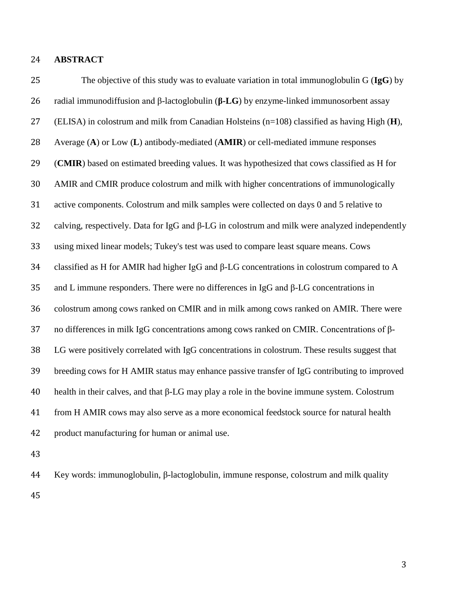**ABSTRACT**

 The objective of this study was to evaluate variation in total immunoglobulin G (**IgG**) by radial immunodiffusion and β-lactoglobulin (**β-LG**) by enzyme-linked immunosorbent assay (ELISA) in colostrum and milk from Canadian Holsteins (n=108) classified as having High (**H**), Average (**A**) or Low (**L**) antibody-mediated (**AMIR**) or cell-mediated immune responses (**CMIR**) based on estimated breeding values. It was hypothesized that cows classified as H for AMIR and CMIR produce colostrum and milk with higher concentrations of immunologically active components. Colostrum and milk samples were collected on days 0 and 5 relative to calving, respectively. Data for IgG and β-LG in colostrum and milk were analyzed independently using mixed linear models; Tukey's test was used to compare least square means. Cows classified as H for AMIR had higher IgG and β-LG concentrations in colostrum compared to A and L immune responders. There were no differences in IgG and β-LG concentrations in colostrum among cows ranked on CMIR and in milk among cows ranked on AMIR. There were no differences in milk IgG concentrations among cows ranked on CMIR. Concentrations of β- LG were positively correlated with IgG concentrations in colostrum. These results suggest that breeding cows for H AMIR status may enhance passive transfer of IgG contributing to improved health in their calves, and that β-LG may play a role in the bovine immune system. Colostrum from H AMIR cows may also serve as a more economical feedstock source for natural health product manufacturing for human or animal use. 

 Key words: immunoglobulin, β-lactoglobulin, immune response, colostrum and milk quality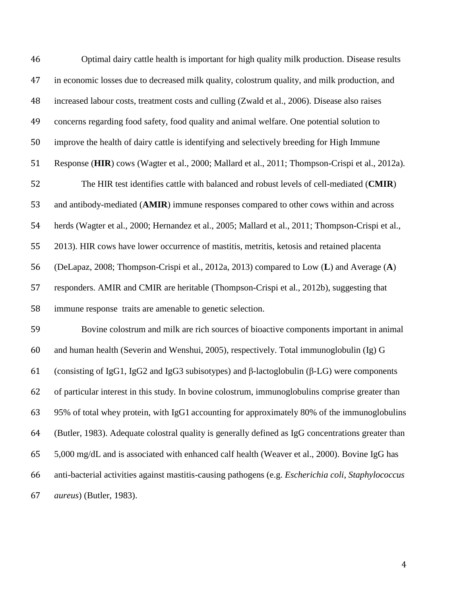Optimal dairy cattle health is important for high quality milk production. Disease results in economic losses due to decreased milk quality, colostrum quality, and milk production, and increased labour costs, treatment costs and culling (Zwald et al., 2006). Disease also raises concerns regarding food safety, food quality and animal welfare. One potential solution to improve the health of dairy cattle is identifying and selectively breeding for High Immune Response (**HIR**) cows (Wagter et al., 2000; Mallard et al., 2011; Thompson-Crispi et al., 2012a). The HIR test identifies cattle with balanced and robust levels of cell-mediated (**CMIR**) and antibody-mediated (**AMIR**) immune responses compared to other cows within and across herds (Wagter et al., 2000; Hernandez et al., 2005; Mallard et al., 2011; Thompson-Crispi et al., 2013). HIR cows have lower occurrence of mastitis, metritis, ketosis and retained placenta (DeLapaz, 2008; Thompson-Crispi et al., 2012a, 2013) compared to Low (**L**) and Average (**A**) responders. AMIR and CMIR are heritable (Thompson-Crispi et al., 2012b), suggesting that immune response traits are amenable to genetic selection. Bovine colostrum and milk are rich sources of bioactive components important in animal and human health (Severin and Wenshui, 2005), respectively. Total immunoglobulin (Ig) G (consisting of IgG1, IgG2 and IgG3 subisotypes) and β-lactoglobulin (β-LG) were components of particular interest in this study. In bovine colostrum, immunoglobulins comprise greater than 95% of total whey protein, with IgG1 accounting for approximately 80% of the immunoglobulins (Butler, 1983). Adequate colostral quality is generally defined as IgG concentrations greater than 5,000 mg/dL and is associated with enhanced calf health (Weaver et al., 2000). Bovine IgG has anti-bacterial activities against mastitis-causing pathogens (e.g. *Escherichia coli*, *Staphylococcus aureus*) (Butler, 1983).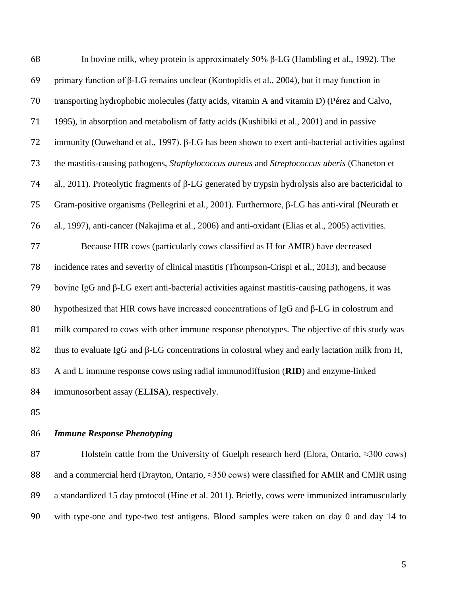| 68 | In bovine milk, whey protein is approximately $50\%$ $\beta$ -LG (Hambling et al., 1992). The             |
|----|-----------------------------------------------------------------------------------------------------------|
| 69 | primary function of $\beta$ -LG remains unclear (Kontopidis et al., 2004), but it may function in         |
| 70 | transporting hydrophobic molecules (fatty acids, vitamin A and vitamin D) (Pérez and Calvo,               |
| 71 | 1995), in absorption and metabolism of fatty acids (Kushibiki et al., 2001) and in passive                |
| 72 | immunity (Ouwehand et al., 1997). β-LG has been shown to exert anti-bacterial activities against          |
| 73 | the mastitis-causing pathogens, Staphylococcus aureus and Streptococcus uberis (Chaneton et               |
| 74 | al., 2011). Proteolytic fragments of $\beta$ -LG generated by trypsin hydrolysis also are bactericidal to |
| 75 | Gram-positive organisms (Pellegrini et al., 2001). Furthermore, $\beta$ -LG has anti-viral (Neurath et    |
| 76 | al., 1997), anti-cancer (Nakajima et al., 2006) and anti-oxidant (Elias et al., 2005) activities.         |
| 77 | Because HIR cows (particularly cows classified as H for AMIR) have decreased                              |
| 78 | incidence rates and severity of clinical mastitis (Thompson-Crispi et al., 2013), and because             |
| 79 | bovine IgG and β-LG exert anti-bacterial activities against mastitis-causing pathogens, it was            |
| 80 | hypothesized that HIR cows have increased concentrations of IgG and β-LG in colostrum and                 |
| 81 | milk compared to cows with other immune response phenotypes. The objective of this study was              |
| 82 | thus to evaluate IgG and $\beta$ -LG concentrations in colostral whey and early lactation milk from H,    |
| 83 | A and L immune response cows using radial immunodiffusion (RID) and enzyme-linked                         |
| 84 | immunosorbent assay (ELISA), respectively.                                                                |

# *Immune Response Phenotyping*

87 Holstein cattle from the University of Guelph research herd (Elora, Ontario, ≈300 cows) 88 and a commercial herd (Drayton, Ontario, ≈350 cows) were classified for AMIR and CMIR using a standardized 15 day protocol (Hine et al. 2011). Briefly, cows were immunized intramuscularly with type-one and type-two test antigens. Blood samples were taken on day 0 and day 14 to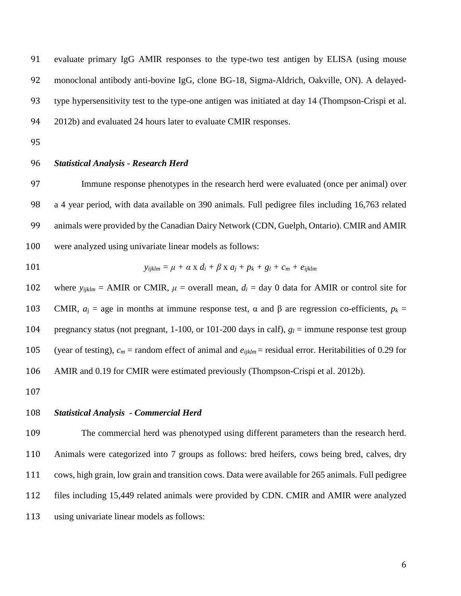evaluate primary IgG AMIR responses to the type-two test antigen by ELISA (using mouse monoclonal antibody anti-bovine IgG, clone BG-18, Sigma-Aldrich, Oakville, ON). A delayed- type hypersensitivity test to the type-one antigen was initiated at day 14 (Thompson-Crispi et al. 2012b) and evaluated 24 hours later to evaluate CMIR responses.

#### *Statistical Analysis - Research Herd*

 Immune response phenotypes in the research herd were evaluated (once per animal) over a 4 year period, with data available on 390 animals. Full pedigree files including 16,763 related animals were provided by the Canadian Dairy Network (CDN, Guelph, Ontario). CMIR and AMIR were analyzed using univariate linear models as follows:

101 
$$
y_{ijklm} = \mu + \alpha \times d_i + \beta \times a_j + p_k + g_l + c_m + e_{ijklm}
$$

102 where  $y_{ijklm} = AMIR$  or CMIR,  $\mu$  = overall mean,  $d_i = day$  0 data for AMIR or control site for 103 CMIR,  $a_i$  = age in months at immune response test, α and β are regression co-efficients,  $p_k$  = pregnancy status (not pregnant, 1-100, or 101-200 days in calf), *g<sup>l</sup>* = immune response test group 105 (year of testing),  $c_m$  = random effect of animal and  $e_{ijklm}$  = residual error. Heritabilities of 0.29 for AMIR and 0.19 for CMIR were estimated previously (Thompson-Crispi et al. 2012b).

## *Statistical Analysis - Commercial Herd*

 The commercial herd was phenotyped using different parameters than the research herd. Animals were categorized into 7 groups as follows: bred heifers, cows being bred, calves, dry cows, high grain, low grain and transition cows. Data were available for 265 animals. Full pedigree files including 15,449 related animals were provided by CDN. CMIR and AMIR were analyzed using univariate linear models as follows: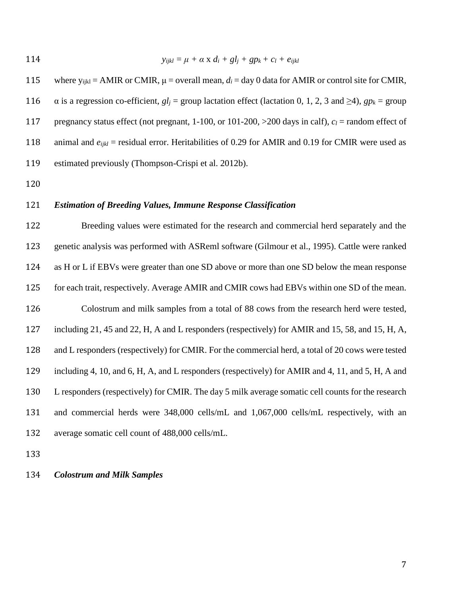$$
y_{ijkl} = \mu + \alpha \times d_i + gl_j + gp_k + c_l + e_{ijkl}
$$

115 where  $y_{ijkl} = AMIR$  or CMIR,  $\mu$  = overall mean,  $d_i = day$  0 data for AMIR or control site for CMIR, 116  $\alpha$  is a regression co-efficient,  $gl_i =$  group lactation effect (lactation 0, 1, 2, 3 and  $\geq 4$ ),  $gp_k =$  group pregnancy status effect (not pregnant, 1-100, or 101-200, >200 days in calf), *c<sup>l</sup>* = random effect of 118 animal and  $e_{ijkl}$  = residual error. Heritabilities of 0.29 for AMIR and 0.19 for CMIR were used as estimated previously (Thompson-Crispi et al. 2012b).

#### *Estimation of Breeding Values, Immune Response Classification*

 Breeding values were estimated for the research and commercial herd separately and the genetic analysis was performed with ASReml software (Gilmour et al., 1995). Cattle were ranked as H or L if EBVs were greater than one SD above or more than one SD below the mean response for each trait, respectively. Average AMIR and CMIR cows had EBVs within one SD of the mean. Colostrum and milk samples from a total of 88 cows from the research herd were tested, including 21, 45 and 22, H, A and L responders (respectively) for AMIR and 15, 58, and 15, H, A, and L responders (respectively) for CMIR. For the commercial herd, a total of 20 cows were tested including 4, 10, and 6, H, A, and L responders (respectively) for AMIR and 4, 11, and 5, H, A and L responders (respectively) for CMIR. The day 5 milk average somatic cell counts for the research and commercial herds were 348,000 cells/mL and 1,067,000 cells/mL respectively, with an average somatic cell count of 488,000 cells/mL.

*Colostrum and Milk Samples*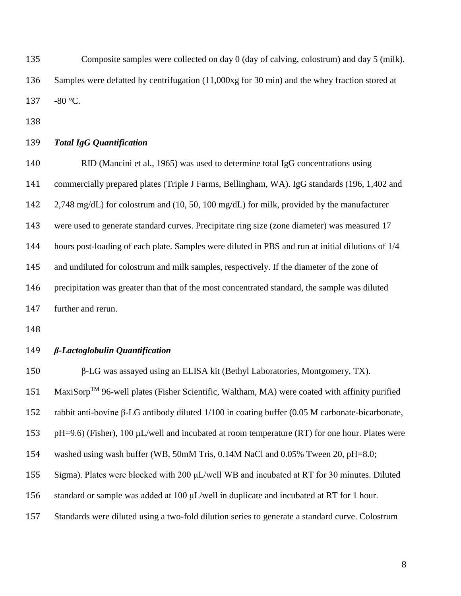Composite samples were collected on day 0 (day of calving, colostrum) and day 5 (milk). Samples were defatted by centrifugation (11,000xg for 30 min) and the whey fraction stored at -80 °C.

## *Total IgG Quantification*

 RID (Mancini et al., 1965) was used to determine total IgG concentrations using commercially prepared plates (Triple J Farms, Bellingham, WA). IgG standards (196, 1,402 and 2,748 mg/dL) for colostrum and (10, 50, 100 mg/dL) for milk, provided by the manufacturer were used to generate standard curves. Precipitate ring size (zone diameter) was measured 17 hours post-loading of each plate. Samples were diluted in PBS and run at initial dilutions of 1/4 and undiluted for colostrum and milk samples, respectively. If the diameter of the zone of precipitation was greater than that of the most concentrated standard, the sample was diluted further and rerun.

#### *β-Lactoglobulin Quantification*

β-LG was assayed using an ELISA kit (Bethyl Laboratories, Montgomery, TX).

151 MaxiSorp<sup>TM</sup> 96-well plates (Fisher Scientific, Waltham, MA) were coated with affinity purified

rabbit anti-bovine β-LG antibody diluted 1/100 in coating buffer (0.05 M carbonate-bicarbonate,

153 pH=9.6) (Fisher), 100  $\mu$ L/well and incubated at room temperature (RT) for one hour. Plates were

washed using wash buffer (WB, 50mM Tris, 0.14M NaCl and 0.05% Tween 20, pH=8.0;

Sigma). Plates were blocked with 200 μL/well WB and incubated at RT for 30 minutes. Diluted

standard or sample was added at 100 μL/well in duplicate and incubated at RT for 1 hour.

Standards were diluted using a two-fold dilution series to generate a standard curve. Colostrum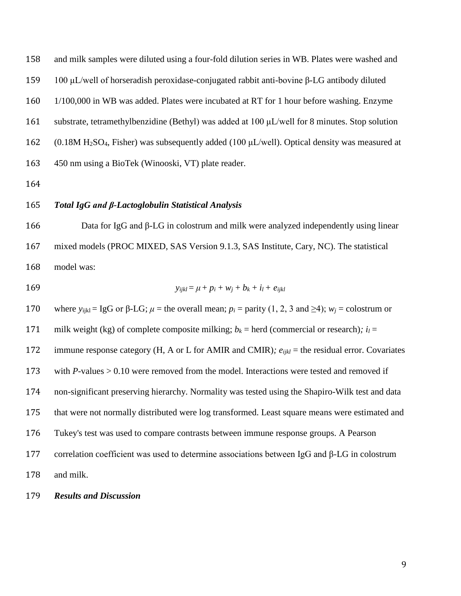and milk samples were diluted using a four-fold dilution series in WB. Plates were washed and 100 μL/well of horseradish peroxidase-conjugated rabbit anti-bovine β-LG antibody diluted 1/100,000 in WB was added. Plates were incubated at RT for 1 hour before washing. Enzyme substrate, tetramethylbenzidine (Bethyl) was added at 100 μL/well for 8 minutes. Stop solution 162 (0.18M H<sub>2</sub>SO<sub>4</sub>, Fisher) was subsequently added (100  $\mu$ L/well). Optical density was measured at 450 nm using a BioTek (Winooski, VT) plate reader.

## *Total IgG and β-Lactoglobulin Statistical Analysis*

 Data for IgG and β-LG in colostrum and milk were analyzed independently using linear mixed models (PROC MIXED, SAS Version 9.1.3, SAS Institute, Cary, NC). The statistical model was:

$$
y_{ijkl} = \mu + p_i + w_j + b_k + i_l + e_{ijkl}
$$

170 where  $y_{i_k} = \lg G$  or  $\beta$ -LG;  $\mu$  = the overall mean;  $p_i$  = parity (1, 2, 3 and  $\geq 4$ );  $w_i$  = colostrum or 171 milk weight (kg) of complete composite milking;  $b_k$  = herd (commercial or research);  $i_l$  = immune response category (H, A or L for AMIR and CMIR)*; eijkl* = the residual error. Covariates 173 with *P*-values > 0.10 were removed from the model. Interactions were tested and removed if non-significant preserving hierarchy. Normality was tested using the Shapiro-Wilk test and data that were not normally distributed were log transformed. Least square means were estimated and Tukey's test was used to compare contrasts between immune response groups. A Pearson correlation coefficient was used to determine associations between IgG and β-LG in colostrum and milk.

#### *Results and Discussion*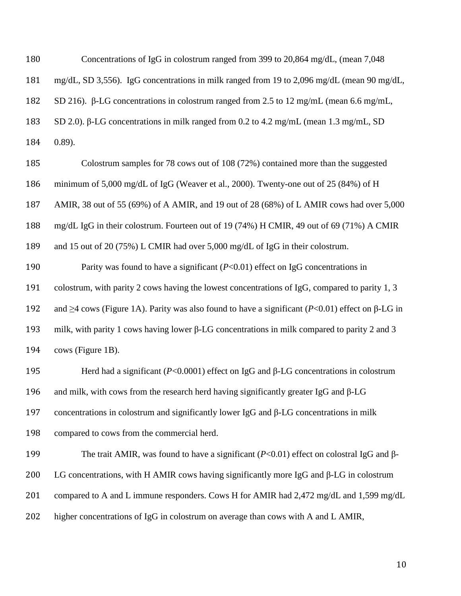| 180 | Concentrations of IgG in colostrum ranged from 399 to 20,864 mg/dL, (mean 7,048)                             |
|-----|--------------------------------------------------------------------------------------------------------------|
| 181 | mg/dL, SD 3,556). IgG concentrations in milk ranged from 19 to 2,096 mg/dL (mean 90 mg/dL,                   |
| 182 | SD 216). β-LG concentrations in colostrum ranged from 2.5 to 12 mg/mL (mean 6.6 mg/mL,                       |
| 183 | SD 2.0). $\beta$ -LG concentrations in milk ranged from 0.2 to 4.2 mg/mL (mean 1.3 mg/mL, SD                 |
| 184 | (0.89).                                                                                                      |
| 185 | Colostrum samples for 78 cows out of 108 (72%) contained more than the suggested                             |
| 186 | minimum of 5,000 mg/dL of IgG (Weaver et al., 2000). Twenty-one out of 25 (84%) of H                         |
| 187 | AMIR, 38 out of 55 (69%) of A AMIR, and 19 out of 28 (68%) of L AMIR cows had over 5,000                     |
| 188 | mg/dL IgG in their colostrum. Fourteen out of 19 (74%) H CMIR, 49 out of 69 (71%) A CMIR                     |
| 189 | and 15 out of 20 (75%) L CMIR had over 5,000 mg/dL of IgG in their colostrum.                                |
| 190 | Parity was found to have a significant $(P<0.01)$ effect on IgG concentrations in                            |
| 191 | colostrum, with parity 2 cows having the lowest concentrations of IgG, compared to parity 1, 3               |
| 192 | and $\geq$ 4 cows (Figure 1A). Parity was also found to have a significant (P<0.01) effect on $\beta$ -LG in |
| 193 | milk, with parity 1 cows having lower $\beta$ -LG concentrations in milk compared to parity 2 and 3          |
| 194 | cows (Figure 1B).                                                                                            |
| 195 | Herd had a significant ( $P<0.0001$ ) effect on IgG and $\beta$ -LG concentrations in colostrum              |
| 196 | and milk, with cows from the research herd having significantly greater IgG and $\beta$ -LG                  |
| 197 | concentrations in colostrum and significantly lower IgG and $\beta$ -LG concentrations in milk               |
| 198 | compared to cows from the commercial herd.                                                                   |
| 199 | The trait AMIR, was found to have a significant ( $P<0.01$ ) effect on colostral IgG and $\beta$ -           |
| 200 | LG concentrations, with H AMIR cows having significantly more IgG and $\beta$ -LG in colostrum               |
| 201 | compared to A and L immune responders. Cows H for AMIR had 2,472 mg/dL and 1,599 mg/dL                       |
| 202 | higher concentrations of IgG in colostrum on average than cows with A and L AMIR,                            |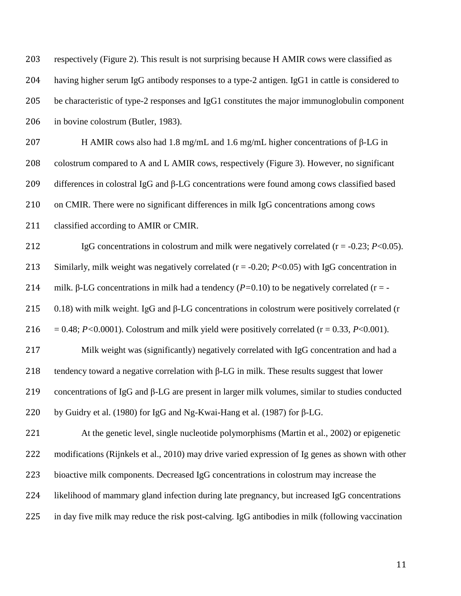| 203 | respectively (Figure 2). This result is not surprising because H AMIR cows were classified as          |
|-----|--------------------------------------------------------------------------------------------------------|
| 204 | having higher serum IgG antibody responses to a type-2 antigen. IgG1 in cattle is considered to        |
| 205 | be characteristic of type-2 responses and IgG1 constitutes the major immunoglobulin component          |
| 206 | in bovine colostrum (Butler, 1983).                                                                    |
| 207 | H AMIR cows also had 1.8 mg/mL and 1.6 mg/mL higher concentrations of $\beta$ -LG in                   |
| 208 | colostrum compared to A and L AMIR cows, respectively (Figure 3). However, no significant              |
| 209 | differences in colostral IgG and β-LG concentrations were found among cows classified based            |
| 210 | on CMIR. There were no significant differences in milk IgG concentrations among cows                   |
| 211 | classified according to AMIR or CMIR.                                                                  |
| 212 | IgG concentrations in colostrum and milk were negatively correlated ( $r = -0.23$ ; $P < 0.05$ ).      |
| 213 | Similarly, milk weight was negatively correlated $(r = -0.20; P<0.05)$ with IgG concentration in       |
| 214 | milk. $\beta$ -LG concentrations in milk had a tendency (P=0.10) to be negatively correlated (r = -    |
| 215 | 0.18) with milk weight. IgG and $\beta$ -LG concentrations in colostrum were positively correlated (r  |
| 216 | $= 0.48$ ; P<0.0001). Colostrum and milk yield were positively correlated (r = 0.33, P<0.001).         |
| 217 | Milk weight was (significantly) negatively correlated with IgG concentration and had a                 |
| 218 | tendency toward a negative correlation with $\beta$ -LG in milk. These results suggest that lower      |
| 219 | concentrations of IgG and $\beta$ -LG are present in larger milk volumes, similar to studies conducted |
| 220 | by Guidry et al. (1980) for IgG and Ng-Kwai-Hang et al. (1987) for $\beta$ -LG.                        |
| 221 | At the genetic level, single nucleotide polymorphisms (Martin et al., 2002) or epigenetic              |
| 222 | modifications (Rijnkels et al., 2010) may drive varied expression of Ig genes as shown with other      |
| 223 | bioactive milk components. Decreased IgG concentrations in colostrum may increase the                  |
| 224 | likelihood of mammary gland infection during late pregnancy, but increased IgG concentrations          |
| 225 | in day five milk may reduce the risk post-calving. IgG antibodies in milk (following vaccination       |
|     |                                                                                                        |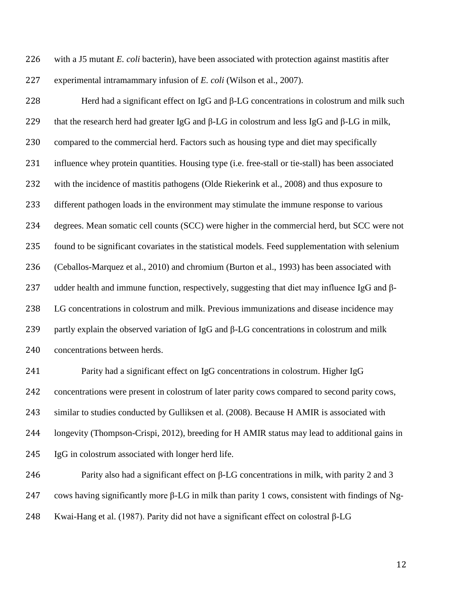with a J5 mutant *E. coli* bacterin), have been associated with protection against mastitis after experimental intramammary infusion of *E. coli* (Wilson et al., 2007).

 Herd had a significant effect on IgG and β-LG concentrations in colostrum and milk such that the research herd had greater IgG and β-LG in colostrum and less IgG and β-LG in milk, compared to the commercial herd. Factors such as housing type and diet may specifically influence whey protein quantities. Housing type (i.e. free-stall or tie-stall) has been associated with the incidence of mastitis pathogens (Olde Riekerink et al., 2008) and thus exposure to different pathogen loads in the environment may stimulate the immune response to various degrees. Mean somatic cell counts (SCC) were higher in the commercial herd, but SCC were not found to be significant covariates in the statistical models. Feed supplementation with selenium (Ceballos-Marquez et al., 2010) and chromium (Burton et al., 1993) has been associated with udder health and immune function, respectively, suggesting that diet may influence IgG and β- LG concentrations in colostrum and milk. Previous immunizations and disease incidence may partly explain the observed variation of IgG and β-LG concentrations in colostrum and milk concentrations between herds.

 Parity had a significant effect on IgG concentrations in colostrum. Higher IgG concentrations were present in colostrum of later parity cows compared to second parity cows, similar to studies conducted by Gulliksen et al. (2008). Because H AMIR is associated with longevity (Thompson-Crispi, 2012), breeding for H AMIR status may lead to additional gains in IgG in colostrum associated with longer herd life.

246 Parity also had a significant effect on  $\beta$ -LG concentrations in milk, with parity 2 and 3 cows having significantly more β-LG in milk than parity 1 cows, consistent with findings of Ng-Kwai-Hang et al. (1987). Parity did not have a significant effect on colostral β-LG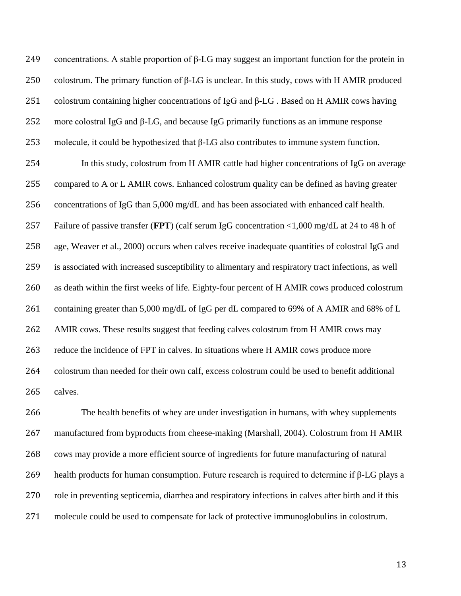concentrations. A stable proportion of β-LG may suggest an important function for the protein in 250 colostrum. The primary function of  $\beta$ -LG is unclear. In this study, cows with H AMIR produced colostrum containing higher concentrations of IgG and β-LG . Based on H AMIR cows having more colostral IgG and β-LG, and because IgG primarily functions as an immune response molecule, it could be hypothesized that β-LG also contributes to immune system function.

 In this study, colostrum from H AMIR cattle had higher concentrations of IgG on average compared to A or L AMIR cows. Enhanced colostrum quality can be defined as having greater concentrations of IgG than 5,000 mg/dL and has been associated with enhanced calf health. Failure of passive transfer (**FPT**) (calf serum IgG concentration <1,000 mg/dL at 24 to 48 h of age, Weaver et al., 2000) occurs when calves receive inadequate quantities of colostral IgG and is associated with increased susceptibility to alimentary and respiratory tract infections, as well as death within the first weeks of life. Eighty-four percent of H AMIR cows produced colostrum 261 containing greater than 5,000 mg/dL of IgG per dL compared to 69% of A AMIR and 68% of L AMIR cows. These results suggest that feeding calves colostrum from H AMIR cows may reduce the incidence of FPT in calves. In situations where H AMIR cows produce more colostrum than needed for their own calf, excess colostrum could be used to benefit additional calves.

 The health benefits of whey are under investigation in humans, with whey supplements manufactured from byproducts from cheese-making (Marshall, 2004). Colostrum from H AMIR cows may provide a more efficient source of ingredients for future manufacturing of natural health products for human consumption. Future research is required to determine if β-LG plays a role in preventing septicemia, diarrhea and respiratory infections in calves after birth and if this molecule could be used to compensate for lack of protective immunoglobulins in colostrum.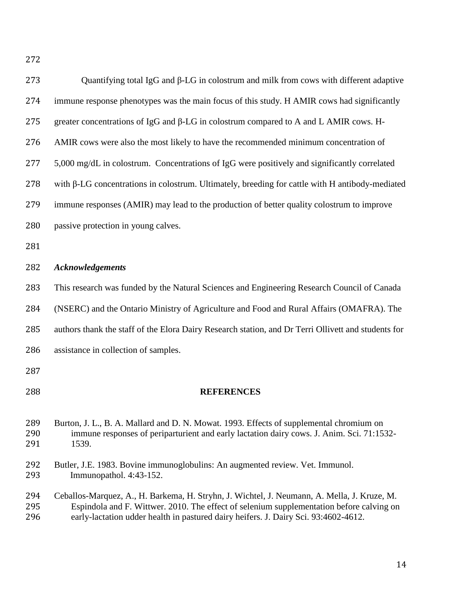| 273               | Quantifying total IgG and $\beta$ -LG in colostrum and milk from cows with different adaptive                                                                                                                                                                                  |
|-------------------|--------------------------------------------------------------------------------------------------------------------------------------------------------------------------------------------------------------------------------------------------------------------------------|
| 274               | immune response phenotypes was the main focus of this study. H AMIR cows had significantly                                                                                                                                                                                     |
| 275               | greater concentrations of IgG and β-LG in colostrum compared to A and L AMIR cows. H-                                                                                                                                                                                          |
| 276               | AMIR cows were also the most likely to have the recommended minimum concentration of                                                                                                                                                                                           |
| 277               | 5,000 mg/dL in colostrum. Concentrations of IgG were positively and significantly correlated                                                                                                                                                                                   |
| 278               | with $\beta$ -LG concentrations in colostrum. Ultimately, breeding for cattle with H antibody-mediated                                                                                                                                                                         |
| 279               | immune responses (AMIR) may lead to the production of better quality colostrum to improve                                                                                                                                                                                      |
| 280               | passive protection in young calves.                                                                                                                                                                                                                                            |
| 281               |                                                                                                                                                                                                                                                                                |
| 282               | <b>Acknowledgements</b>                                                                                                                                                                                                                                                        |
| 283               | This research was funded by the Natural Sciences and Engineering Research Council of Canada                                                                                                                                                                                    |
| 284               | (NSERC) and the Ontario Ministry of Agriculture and Food and Rural Affairs (OMAFRA). The                                                                                                                                                                                       |
| 285               | authors thank the staff of the Elora Dairy Research station, and Dr Terri Ollivett and students for                                                                                                                                                                            |
| 286               | assistance in collection of samples.                                                                                                                                                                                                                                           |
| 287               |                                                                                                                                                                                                                                                                                |
| 288               | <b>REFERENCES</b>                                                                                                                                                                                                                                                              |
| 289<br>290<br>291 | Burton, J. L., B. A. Mallard and D. N. Mowat. 1993. Effects of supplemental chromium on<br>immune responses of periparturient and early lactation dairy cows. J. Anim. Sci. 71:1532-<br>1539.                                                                                  |
| 292<br>293        | Butler, J.E. 1983. Bovine immunoglobulins: An augmented review. Vet. Immunol.<br>Immunopathol. 4:43-152.                                                                                                                                                                       |
| 294<br>295<br>296 | Ceballos-Marquez, A., H. Barkema, H. Stryhn, J. Wichtel, J. Neumann, A. Mella, J. Kruze, M.<br>Espindola and F. Wittwer. 2010. The effect of selenium supplementation before calving on<br>early-lactation udder health in pastured dairy heifers. J. Dairy Sci. 93:4602-4612. |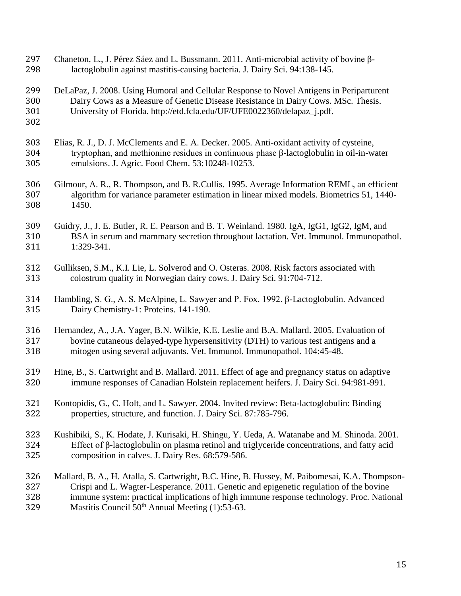lactoglobulin against mastitis-causing bacteria. J. Dairy Sci. 94:138-145. DeLaPaz, J. 2008. Using Humoral and Cellular Response to Novel Antigens in Periparturent Dairy Cows as a Measure of Genetic Disease Resistance in Dairy Cows. MSc. Thesis. University of Florida. [http://etd.fcla.edu/UF/UFE0022360/delapaz\\_j.pdf.](http://etd.fcla.edu/UF/UFE0022360/delapaz_j.pdf) Elias, R. J., D. J. McClements and E. A. Decker. 2005. Anti-oxidant activity of cysteine, tryptophan, and methionine residues in continuous phase β-lactoglobulin in oil-in-water emulsions. J. Agric. Food Chem. 53:10248-10253. Gilmour, A. R., R. Thompson, and B. R.Cullis. 1995. Average Information REML, an efficient algorithm for variance parameter estimation in linear mixed models. Biometrics 51, 1440- 1450. Guidry, J., J. E. Butler, R. E. Pearson and B. T. Weinland. 1980. IgA, IgG1, IgG2, IgM, and BSA in serum and mammary secretion throughout lactation. Vet. Immunol. Immunopathol. 1:329-341. Gulliksen, S.M., K.I. Lie, L. Solverod and O. Osteras. 2008. Risk factors associated with colostrum quality in Norwegian dairy cows. J. Dairy Sci. 91:704-712. Hambling, S. G., A. S. McAlpine, L. Sawyer and P. Fox. 1992. β-Lactoglobulin. Advanced Dairy Chemistry-1: Proteins. 141-190. Hernandez, A., J.A. Yager, B.N. Wilkie, K.E. Leslie and B.A. Mallard. 2005. Evaluation of bovine cutaneous delayed-type hypersensitivity (DTH) to various test antigens and a mitogen using several adjuvants. Vet. Immunol. Immunopathol. 104:45-48. Hine, B., S. Cartwright and B. Mallard. 2011. Effect of age and pregnancy status on adaptive immune responses of Canadian Holstein replacement heifers. J. Dairy Sci. 94:981-991. Kontopidis, G., C. Holt, and L. Sawyer. 2004. Invited review: Beta-lactoglobulin: Binding properties, structure, and function. J. Dairy Sci. 87:785-796. Kushibiki, S., K. Hodate, J. Kurisaki, H. Shingu, Y. Ueda, A. Watanabe and M. Shinoda. 2001. Effect of β-lactoglobulin on plasma retinol and triglyceride concentrations, and fatty acid composition in calves. J. Dairy Res. 68:579-586. Mallard, B. A., H. Atalla, S. Cartwright, B.C. Hine, B. Hussey, M. Paibomesai, K.A. Thompson- Crispi and L. Wagter-Lesperance. 2011. Genetic and epigenetic regulation of the bovine immune system: practical implications of high immune response technology. Proc. National 329 Mastitis Council  $50<sup>th</sup>$  Annual Meeting (1):53-63.

Chaneton, L., J. Pérez Sáez and L. Bussmann. 2011. Anti-microbial activity of bovine β-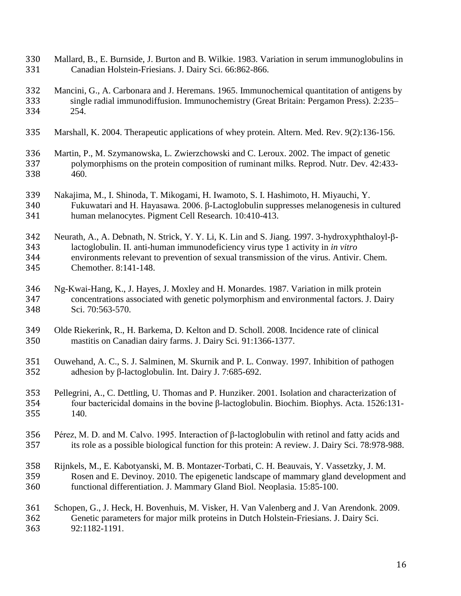- Mallard, B., E. Burnside, J. Burton and B. Wilkie. 1983. Variation in serum immunoglobulins in Canadian Holstein-Friesians. J. Dairy Sci. 66:862-866.
- Mancini, G., A. Carbonara and J. Heremans. 1965. Immunochemical quantitation of antigens by single radial immunodiffusion. Immunochemistry (Great Britain: Pergamon Press). 2:235– 254.
- Marshall, K. 2004. Therapeutic applications of whey protein. Altern. Med. Rev. 9(2):136-156.
- Martin, P., M. Szymanowska, L. Zwierzchowski and C. Leroux. 2002. The impact of genetic polymorphisms on the protein composition of ruminant milks. Reprod. Nutr. Dev. 42:433- 460.
- Nakajima, M., I. Shinoda, T. Mikogami, H. Iwamoto, S. I. Hashimoto, H. Miyauchi, Y.
- Fukuwatari and H. Hayasawa. 2006. β-Lactoglobulin suppresses melanogenesis in cultured human melanocytes. Pigment Cell Research. 10:410-413.
- Neurath, A., A. Debnath, N. Strick, Y. Y. Li, K. Lin and S. Jiang. 1997. 3-hydroxyphthaloyl-β- lactoglobulin. II. anti-human immunodeficiency virus type 1 activity in *in vitro* environments relevant to prevention of sexual transmission of the virus. Antivir. Chem. Chemother. 8:141-148.
- Ng-Kwai-Hang, K., J. Hayes, J. Moxley and H. Monardes. 1987. Variation in milk protein concentrations associated with genetic polymorphism and environmental factors. J. Dairy Sci. 70:563-570.
- Olde Riekerink, R., H. Barkema, D. Kelton and D. Scholl. 2008. Incidence rate of clinical mastitis on Canadian dairy farms. J. Dairy Sci. 91:1366-1377.
- Ouwehand, A. C., S. J. Salminen, M. Skurnik and P. L. Conway. 1997. Inhibition of pathogen adhesion by β-lactoglobulin. Int. Dairy J. 7:685-692.
- Pellegrini, A., C. Dettling, U. Thomas and P. Hunziker. 2001. Isolation and characterization of four bactericidal domains in the bovine β-lactoglobulin. Biochim. Biophys. Acta. 1526:131- 140.
- Pérez, M. D. and M. Calvo. 1995. Interaction of β-lactoglobulin with retinol and fatty acids and its role as a possible biological function for this protein: A review. J. Dairy Sci. 78:978-988.
- Rijnkels, M., E. Kabotyanski, M. B. Montazer-Torbati, C. H. Beauvais, Y. Vassetzky, J. M. Rosen and E. Devinoy. 2010. The epigenetic landscape of mammary gland development and functional differentiation. J. Mammary Gland Biol. Neoplasia. 15:85-100.
- Schopen, G., J. Heck, H. Bovenhuis, M. Visker, H. Van Valenberg and J. Van Arendonk. 2009. Genetic parameters for major milk proteins in Dutch Holstein-Friesians. J. Dairy Sci. 92:1182-1191.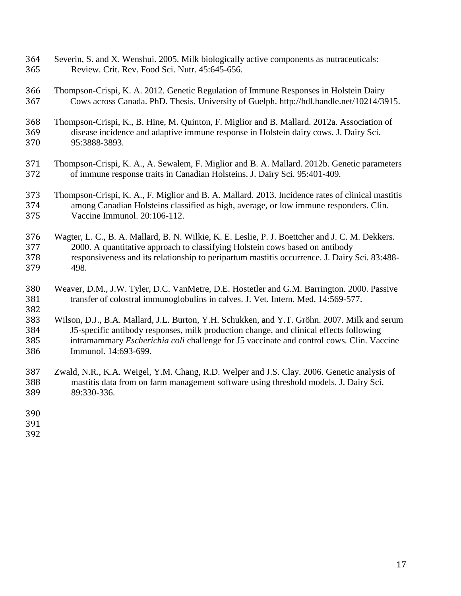- Severin, S. and X. Wenshui. 2005. Milk biologically active components as nutraceuticals: Review. Crit. Rev. Food Sci. Nutr. 45:645-656.
- Thompson-Crispi, K. A. 2012. Genetic Regulation of Immune Responses in Holstein Dairy Cows across Canada. PhD. Thesis. University of Guelph. [http://hdl.handle.net/10214/3915.](http://hdl.handle.net/10214/3915)
- Thompson-Crispi, K., B. Hine, M. Quinton, F. Miglior and B. Mallard. 2012a. Association of disease incidence and adaptive immune response in Holstein dairy cows. J. Dairy Sci. 95:3888-3893.
- Thompson-Crispi, K. A., A. Sewalem, F. Miglior and B. A. Mallard. 2012b. Genetic parameters of immune response traits in Canadian Holsteins. J. Dairy Sci. 95:401-409*.*
- Thompson-Crispi, K. A., F. Miglior and B. A. Mallard. 2013. Incidence rates of clinical mastitis among Canadian Holsteins classified as high, average, or low immune responders. Clin. Vaccine Immunol. 20:106-112.
- Wagter, L. C., B. A. Mallard, B. N. Wilkie, K. E. Leslie, P. J. Boettcher and J. C. M. Dekkers. 2000. A quantitative approach to classifying Holstein cows based on antibody responsiveness and its relationship to peripartum mastitis occurrence. J. Dairy Sci. 83:488- 498.
- Weaver, D.M., J.W. Tyler, D.C. VanMetre, D.E. Hostetler and G.M. Barrington. 2000. Passive transfer of colostral immunoglobulins in calves. J. Vet. Intern. Med. 14:569-577.
- Wilson, D.J., B.A. Mallard, J.L. Burton, Y.H. Schukken, and Y.T. Gröhn. 2007. Milk and serum J5-specific antibody responses, milk production change, and clinical effects following intramammary *Escherichia coli* challenge for J5 vaccinate and control cows*.* Clin. Vaccine Immunol. 14:693-699.
- Zwald, N.R., K.A. Weigel, Y.M. Chang, R.D. Welper and J.S. Clay. 2006. Genetic analysis of mastitis data from on farm management software using threshold models. J. Dairy Sci. 89:330-336.
-